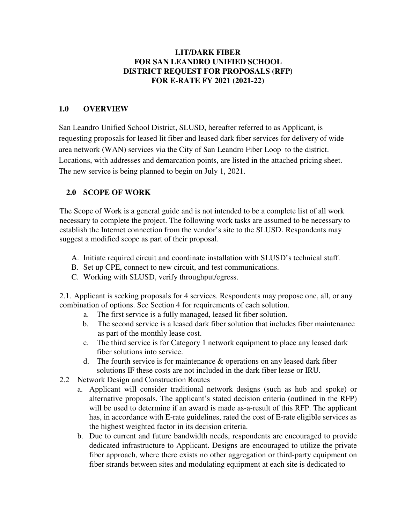### **LIT/DARK FIBER FOR SAN LEANDRO UNIFIED SCHOOL DISTRICT REQUEST FOR PROPOSALS (RFP) FOR E-RATE FY 2021 (2021-22)**

## **1.0 OVERVIEW**

San Leandro Unified School District, SLUSD, hereafter referred to as Applicant, is requesting proposals for leased lit fiber and leased dark fiber services for delivery of wide area network (WAN) services via the City of San Leandro Fiber Loop to the district. Locations, with addresses and demarcation points, are listed in the attached pricing sheet. The new service is being planned to begin on July 1, 2021.

### **2.0 SCOPE OF WORK**

The Scope of Work is a general guide and is not intended to be a complete list of all work necessary to complete the project. The following work tasks are assumed to be necessary to establish the Internet connection from the vendor's site to the SLUSD. Respondents may suggest a modified scope as part of their proposal.

- A. Initiate required circuit and coordinate installation with SLUSD's technical staff.
- B. Set up CPE, connect to new circuit, and test communications.
- C. Working with SLUSD, verify throughput/egress.

2.1. Applicant is seeking proposals for 4 services. Respondents may propose one, all, or any combination of options. See Section 4 for requirements of each solution.

- a. The first service is a fully managed, leased lit fiber solution.
- b. The second service is a leased dark fiber solution that includes fiber maintenance as part of the monthly lease cost.
- c. The third service is for Category 1 network equipment to place any leased dark fiber solutions into service.
- d. The fourth service is for maintenance & operations on any leased dark fiber solutions IF these costs are not included in the dark fiber lease or IRU.
- 2.2 Network Design and Construction Routes
	- a. Applicant will consider traditional network designs (such as hub and spoke) or alternative proposals. The applicant's stated decision criteria (outlined in the RFP) will be used to determine if an award is made as-a-result of this RFP. The applicant has, in accordance with E-rate guidelines, rated the cost of E-rate eligible services as the highest weighted factor in its decision criteria.
	- b. Due to current and future bandwidth needs, respondents are encouraged to provide dedicated infrastructure to Applicant. Designs are encouraged to utilize the private fiber approach, where there exists no other aggregation or third-party equipment on fiber strands between sites and modulating equipment at each site is dedicated to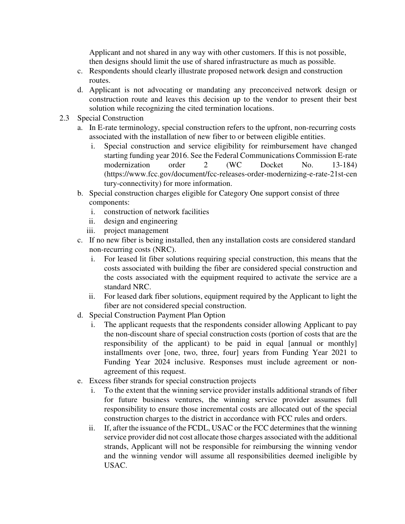Applicant and not shared in any way with other customers. If this is not possible, then designs should limit the use of shared infrastructure as much as possible.

- c. Respondents should clearly illustrate proposed network design and construction routes.
- d. Applicant is not advocating or mandating any preconceived network design or construction route and leaves this decision up to the vendor to present their best solution while recognizing the cited termination locations.
- 2.3 Special Construction
	- a. In E-rate terminology, special construction refers to the upfront, non-recurring costs associated with the installation of new fiber to or between eligible entities.
		- i. Special construction and service eligibility for reimbursement have changed starting funding year 2016. See the Federal Communications Commission E-rate modernization order 2 (WC Docket No. 13-184) (https://www.fcc.gov/document/fcc-releases-order-modernizing-e-rate-21st-cen tury-connectivity) for more information.
	- b. Special construction charges eligible for Category One support consist of three components:
		- i. construction of network facilities
		- ii. design and engineering
		- iii. project management
	- c. If no new fiber is being installed, then any installation costs are considered standard non-recurring costs (NRC).
		- i. For leased lit fiber solutions requiring special construction, this means that the costs associated with building the fiber are considered special construction and the costs associated with the equipment required to activate the service are a standard NRC.
		- ii. For leased dark fiber solutions, equipment required by the Applicant to light the fiber are not considered special construction.
	- d. Special Construction Payment Plan Option
		- i. The applicant requests that the respondents consider allowing Applicant to pay the non-discount share of special construction costs (portion of costs that are the responsibility of the applicant) to be paid in equal [annual or monthly] installments over [one, two, three, four] years from Funding Year 2021 to Funding Year 2024 inclusive. Responses must include agreement or nonagreement of this request.
	- e. Excess fiber strands for special construction projects
		- i. To the extent that the winning service provider installs additional strands of fiber for future business ventures, the winning service provider assumes full responsibility to ensure those incremental costs are allocated out of the special construction charges to the district in accordance with FCC rules and orders.
		- ii. If, after the issuance of the FCDL, USAC or the FCC determines that the winning service provider did not cost allocate those charges associated with the additional strands, Applicant will not be responsible for reimbursing the winning vendor and the winning vendor will assume all responsibilities deemed ineligible by USAC.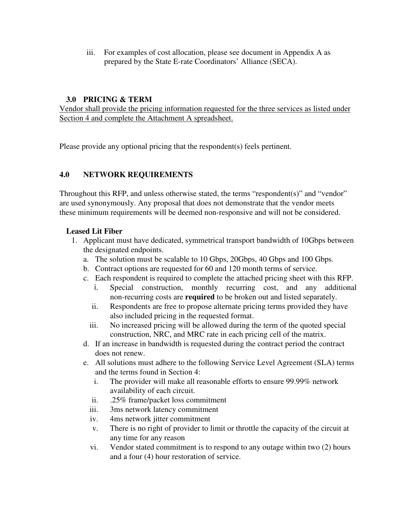iii. For examples of cost allocation, please see document in Appendix A as prepared by the State E-rate Coordinators' Alliance (SECA).

### **3.0 PRICING & TERM**

Vendor shall provide the pricing information requested for the three services as listed under Section 4 and complete the Attachment A spreadsheet.

Please provide any optional pricing that the respondent(s) feels pertinent.

## **4.0 NETWORK REQUIREMENTS**

Throughout this RFP, and unless otherwise stated, the terms "respondent(s)" and "vendor" are used synonymously. Any proposal that does not demonstrate that the vendor meets these minimum requirements will be deemed non-responsive and will not be considered.

### **Leased Lit Fiber**

- 1. Applicant must have dedicated, symmetrical transport bandwidth of 10Gbps between the designated endpoints.
	- a. The solution must be scalable to 10 Gbps, 20Gbps, 40 Gbps and 100 Gbps.
	- b. Contract options are requested for 60 and 120 month terms of service.
	- c. Each respondent is required to complete the attached pricing sheet with this RFP.
		- i. Special construction, monthly recurring cost, and any additional non-recurring costs are **required** to be broken out and listed separately.
		- ii. Respondents are free to propose alternate pricing terms provided they have also included pricing in the requested format.
		- iii. No increased pricing will be allowed during the term of the quoted special construction, NRC, and MRC rate in each pricing cell of the matrix.
	- d. If an increase in bandwidth is requested during the contract period the contract does not renew.
	- e. All solutions must adhere to the following Service Level Agreement (SLA) terms and the terms found in Section 4:
		- i. The provider will make all reasonable efforts to ensure 99.99% network availability of each circuit.
		- ii. .25% frame/packet loss commitment
		- iii. 3ms network latency commitment
		- iv. 4ms network jitter commitment
		- v. There is no right of provider to limit or throttle the capacity of the circuit at any time for any reason
		- vi. Vendor stated commitment is to respond to any outage within two (2) hours and a four (4) hour restoration of service.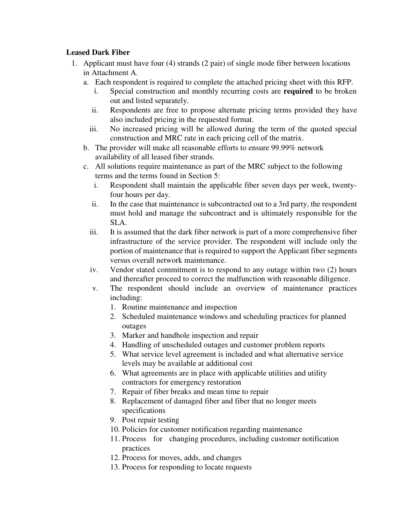### **Leased Dark Fiber**

- 1. Applicant must have four (4) strands (2 pair) of single mode fiber between locations in Attachment A.
	- a. Each respondent is required to complete the attached pricing sheet with this RFP.
		- i. Special construction and monthly recurring costs are **required** to be broken out and listed separately.
		- ii. Respondents are free to propose alternate pricing terms provided they have also included pricing in the requested format.
		- iii. No increased pricing will be allowed during the term of the quoted special construction and MRC rate in each pricing cell of the matrix.
	- b. The provider will make all reasonable efforts to ensure 99.99% network availability of all leased fiber strands.
	- c. All solutions require maintenance as part of the MRC subject to the following terms and the terms found in Section 5:
		- i. Respondent shall maintain the applicable fiber seven days per week, twentyfour hours per day.
		- ii. In the case that maintenance is subcontracted out to a 3rd party, the respondent must hold and manage the subcontract and is ultimately responsible for the SLA.
		- iii. It is assumed that the dark fiber network is part of a more comprehensive fiber infrastructure of the service provider. The respondent will include only the portion of maintenance that is required to support the Applicant fiber segments versus overall network maintenance.
		- iv. Vendor stated commitment is to respond to any outage within two (2) hours and thereafter proceed to correct the malfunction with reasonable diligence.
		- v. The respondent should include an overview of maintenance practices including:
			- 1. Routine maintenance and inspection
			- 2. Scheduled maintenance windows and scheduling practices for planned outages
			- 3. Marker and handhole inspection and repair
			- 4. Handling of unscheduled outages and customer problem reports
			- 5. What service level agreement is included and what alternative service levels may be available at additional cost
			- 6. What agreements are in place with applicable utilities and utility contractors for emergency restoration
			- 7. Repair of fiber breaks and mean time to repair
			- 8. Replacement of damaged fiber and fiber that no longer meets specifications
			- 9. Post repair testing
			- 10. Policies for customer notification regarding maintenance
			- 11. Process for changing procedures, including customer notification practices
			- 12. Process for moves, adds, and changes
			- 13. Process for responding to locate requests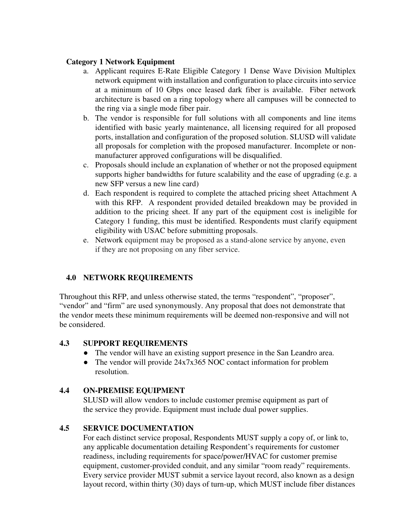### **Category 1 Network Equipment**

- a. Applicant requires E-Rate Eligible Category 1 Dense Wave Division Multiplex network equipment with installation and configuration to place circuits into service at a minimum of 10 Gbps once leased dark fiber is available. Fiber network architecture is based on a ring topology where all campuses will be connected to the ring via a single mode fiber pair.
- b. The vendor is responsible for full solutions with all components and line items identified with basic yearly maintenance, all licensing required for all proposed ports, installation and configuration of the proposed solution. SLUSD will validate all proposals for completion with the proposed manufacturer. Incomplete or nonmanufacturer approved configurations will be disqualified.
- c. Proposals should include an explanation of whether or not the proposed equipment supports higher bandwidths for future scalability and the ease of upgrading (e.g. a new SFP versus a new line card)
- d. Each respondent is required to complete the attached pricing sheet Attachment A with this RFP. A respondent provided detailed breakdown may be provided in addition to the pricing sheet. If any part of the equipment cost is ineligible for Category 1 funding, this must be identified. Respondents must clarify equipment eligibility with USAC before submitting proposals.
- e. Network equipment may be proposed as a stand-alone service by anyone, even if they are not proposing on any fiber service.

### **4.0 NETWORK REQUIREMENTS**

Throughout this RFP, and unless otherwise stated, the terms "respondent", "proposer", "vendor" and "firm" are used synonymously. Any proposal that does not demonstrate that the vendor meets these minimum requirements will be deemed non-responsive and will not be considered.

### **4.3 SUPPORT REQUIREMENTS**

- The vendor will have an existing support presence in the San Leandro area.
- The vendor will provide 24x7x365 NOC contact information for problem resolution.

### **4.4 ON-PREMISE EQUIPMENT**

SLUSD will allow vendors to include customer premise equipment as part of the service they provide. Equipment must include dual power supplies.

### **4.5 SERVICE DOCUMENTATION**

For each distinct service proposal, Respondents MUST supply a copy of, or link to, any applicable documentation detailing Respondent's requirements for customer readiness, including requirements for space/power/HVAC for customer premise equipment, customer-provided conduit, and any similar "room ready" requirements. Every service provider MUST submit a service layout record, also known as a design layout record, within thirty (30) days of turn-up, which MUST include fiber distances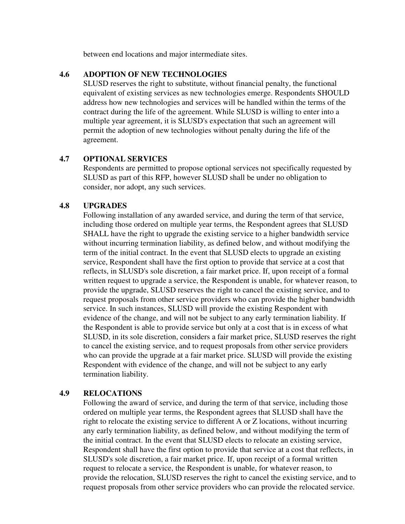between end locations and major intermediate sites.

#### **4.6 ADOPTION OF NEW TECHNOLOGIES**

SLUSD reserves the right to substitute, without financial penalty, the functional equivalent of existing services as new technologies emerge. Respondents SHOULD address how new technologies and services will be handled within the terms of the contract during the life of the agreement. While SLUSD is willing to enter into a multiple year agreement, it is SLUSD's expectation that such an agreement will permit the adoption of new technologies without penalty during the life of the agreement.

### **4.7 OPTIONAL SERVICES**

Respondents are permitted to propose optional services not specifically requested by SLUSD as part of this RFP, however SLUSD shall be under no obligation to consider, nor adopt, any such services.

### **4.8 UPGRADES**

Following installation of any awarded service, and during the term of that service, including those ordered on multiple year terms, the Respondent agrees that SLUSD SHALL have the right to upgrade the existing service to a higher bandwidth service without incurring termination liability, as defined below, and without modifying the term of the initial contract. In the event that SLUSD elects to upgrade an existing service, Respondent shall have the first option to provide that service at a cost that reflects, in SLUSD's sole discretion, a fair market price. If, upon receipt of a formal written request to upgrade a service, the Respondent is unable, for whatever reason, to provide the upgrade, SLUSD reserves the right to cancel the existing service, and to request proposals from other service providers who can provide the higher bandwidth service. In such instances, SLUSD will provide the existing Respondent with evidence of the change, and will not be subject to any early termination liability. If the Respondent is able to provide service but only at a cost that is in excess of what SLUSD, in its sole discretion, considers a fair market price, SLUSD reserves the right to cancel the existing service, and to request proposals from other service providers who can provide the upgrade at a fair market price. SLUSD will provide the existing Respondent with evidence of the change, and will not be subject to any early termination liability.

### **4.9 RELOCATIONS**

Following the award of service, and during the term of that service, including those ordered on multiple year terms, the Respondent agrees that SLUSD shall have the right to relocate the existing service to different A or Z locations, without incurring any early termination liability, as defined below, and without modifying the term of the initial contract. In the event that SLUSD elects to relocate an existing service, Respondent shall have the first option to provide that service at a cost that reflects, in SLUSD's sole discretion, a fair market price. If, upon receipt of a formal written request to relocate a service, the Respondent is unable, for whatever reason, to provide the relocation, SLUSD reserves the right to cancel the existing service, and to request proposals from other service providers who can provide the relocated service.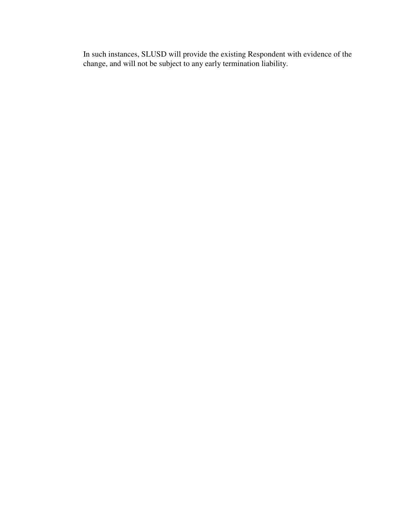In such instances, SLUSD will provide the existing Respondent with evidence of the change, and will not be subject to any early termination liability.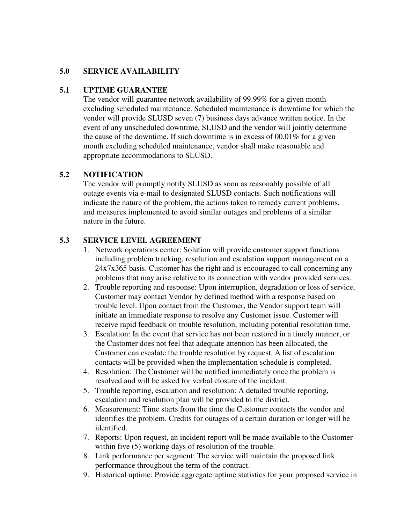### **5.0 SERVICE AVAILABILITY**

### **5.1 UPTIME GUARANTEE**

The vendor will guarantee network availability of 99.99% for a given month excluding scheduled maintenance. Scheduled maintenance is downtime for which the vendor will provide SLUSD seven (7) business days advance written notice. In the event of any unscheduled downtime, SLUSD and the vendor will jointly determine the cause of the downtime. If such downtime is in excess of  $00.01\%$  for a given month excluding scheduled maintenance, vendor shall make reasonable and appropriate accommodations to SLUSD.

### **5.2 NOTIFICATION**

The vendor will promptly notify SLUSD as soon as reasonably possible of all outage events via e-mail to designated SLUSD contacts. Such notifications will indicate the nature of the problem, the actions taken to remedy current problems, and measures implemented to avoid similar outages and problems of a similar nature in the future.

### **5.3 SERVICE LEVEL AGREEMENT**

- 1. Network operations center: Solution will provide customer support functions including problem tracking, resolution and escalation support management on a 24x7x365 basis. Customer has the right and is encouraged to call concerning any problems that may arise relative to its connection with vendor provided services.
- 2. Trouble reporting and response: Upon interruption, degradation or loss of service, Customer may contact Vendor by defined method with a response based on trouble level. Upon contact from the Customer, the Vendor support team will initiate an immediate response to resolve any Customer issue. Customer will receive rapid feedback on trouble resolution, including potential resolution time.
- 3. Escalation: In the event that service has not been restored in a timely manner, or the Customer does not feel that adequate attention has been allocated, the Customer can escalate the trouble resolution by request. A list of escalation contacts will be provided when the implementation schedule is completed.
- 4. Resolution: The Customer will be notified immediately once the problem is resolved and will be asked for verbal closure of the incident.
- 5. Trouble reporting, escalation and resolution: A detailed trouble reporting, escalation and resolution plan will be provided to the district.
- 6. Measurement: Time starts from the time the Customer contacts the vendor and identifies the problem. Credits for outages of a certain duration or longer will be identified.
- 7. Reports: Upon request, an incident report will be made available to the Customer within five (5) working days of resolution of the trouble.
- 8. Link performance per segment: The service will maintain the proposed link performance throughout the term of the contract.
- 9. Historical uptime: Provide aggregate uptime statistics for your proposed service in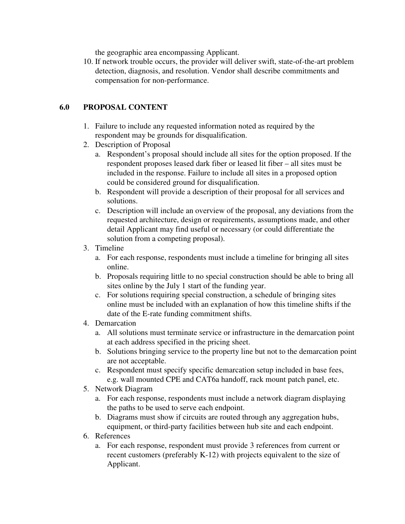the geographic area encompassing Applicant.

10. If network trouble occurs, the provider will deliver swift, state-of-the-art problem detection, diagnosis, and resolution. Vendor shall describe commitments and compensation for non-performance.

# **6.0 PROPOSAL CONTENT**

- 1. Failure to include any requested information noted as required by the respondent may be grounds for disqualification.
- 2. Description of Proposal
	- a. Respondent's proposal should include all sites for the option proposed. If the respondent proposes leased dark fiber or leased lit fiber – all sites must be included in the response. Failure to include all sites in a proposed option could be considered ground for disqualification.
	- b. Respondent will provide a description of their proposal for all services and solutions.
	- c. Description will include an overview of the proposal, any deviations from the requested architecture, design or requirements, assumptions made, and other detail Applicant may find useful or necessary (or could differentiate the solution from a competing proposal).
- 3. Timeline
	- a. For each response, respondents must include a timeline for bringing all sites online.
	- b. Proposals requiring little to no special construction should be able to bring all sites online by the July 1 start of the funding year.
	- c. For solutions requiring special construction, a schedule of bringing sites online must be included with an explanation of how this timeline shifts if the date of the E-rate funding commitment shifts.
- 4. Demarcation
	- a. All solutions must terminate service or infrastructure in the demarcation point at each address specified in the pricing sheet.
	- b. Solutions bringing service to the property line but not to the demarcation point are not acceptable.
	- c. Respondent must specify specific demarcation setup included in base fees, e.g. wall mounted CPE and CAT6a handoff, rack mount patch panel, etc.
- 5. Network Diagram
	- a. For each response, respondents must include a network diagram displaying the paths to be used to serve each endpoint.
	- b. Diagrams must show if circuits are routed through any aggregation hubs, equipment, or third-party facilities between hub site and each endpoint.
- 6. References
	- a. For each response, respondent must provide 3 references from current or recent customers (preferably K-12) with projects equivalent to the size of Applicant.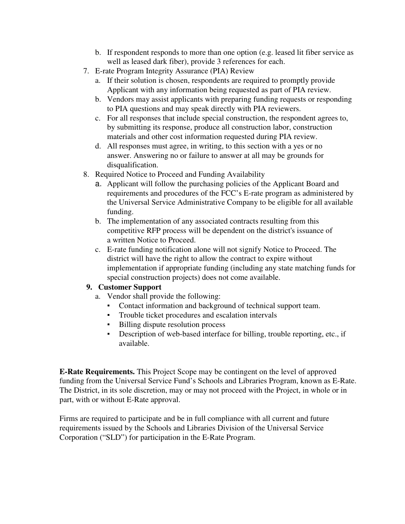- b. If respondent responds to more than one option (e.g. leased lit fiber service as well as leased dark fiber), provide 3 references for each.
- 7. E-rate Program Integrity Assurance (PIA) Review
	- a. If their solution is chosen, respondents are required to promptly provide Applicant with any information being requested as part of PIA review.
	- b. Vendors may assist applicants with preparing funding requests or responding to PIA questions and may speak directly with PIA reviewers.
	- c. For all responses that include special construction, the respondent agrees to, by submitting its response, produce all construction labor, construction materials and other cost information requested during PIA review.
	- d. All responses must agree, in writing, to this section with a yes or no answer. Answering no or failure to answer at all may be grounds for disqualification.
- 8. Required Notice to Proceed and Funding Availability
	- a. Applicant will follow the purchasing policies of the Applicant Board and requirements and procedures of the FCC's E-rate program as administered by the Universal Service Administrative Company to be eligible for all available funding.
	- b. The implementation of any associated contracts resulting from this competitive RFP process will be dependent on the district's issuance of a written Notice to Proceed.
	- c. E-rate funding notification alone will not signify Notice to Proceed. The district will have the right to allow the contract to expire without implementation if appropriate funding (including any state matching funds for special construction projects) does not come available.

# **9. Customer Support**

- a. Vendor shall provide the following:
	- Contact information and background of technical support team.
	- Trouble ticket procedures and escalation intervals
	- Billing dispute resolution process
	- Description of web-based interface for billing, trouble reporting, etc., if available.

**E-Rate Requirements.** This Project Scope may be contingent on the level of approved funding from the Universal Service Fund's Schools and Libraries Program, known as E-Rate. The District, in its sole discretion, may or may not proceed with the Project, in whole or in part, with or without E-Rate approval.

Firms are required to participate and be in full compliance with all current and future requirements issued by the Schools and Libraries Division of the Universal Service Corporation ("SLD") for participation in the E-Rate Program.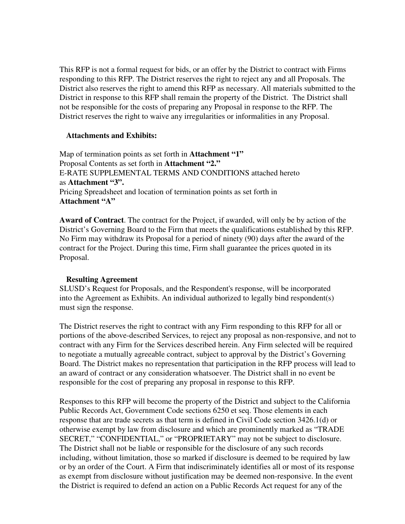This RFP is not a formal request for bids, or an offer by the District to contract with Firms responding to this RFP. The District reserves the right to reject any and all Proposals. The District also reserves the right to amend this RFP as necessary. All materials submitted to the District in response to this RFP shall remain the property of the District. The District shall not be responsible for the costs of preparing any Proposal in response to the RFP. The District reserves the right to waive any irregularities or informalities in any Proposal.

#### **Attachments and Exhibits:**

Map of termination points as set forth in **Attachment "1"**  Proposal Contents as set forth in **Attachment "2."** E-RATE SUPPLEMENTAL TERMS AND CONDITIONS attached hereto as **Attachment "3".**  Pricing Spreadsheet and location of termination points as set forth in **Attachment "A"**

**Award of Contract**. The contract for the Project, if awarded, will only be by action of the District's Governing Board to the Firm that meets the qualifications established by this RFP. No Firm may withdraw its Proposal for a period of ninety (90) days after the award of the contract for the Project. During this time, Firm shall guarantee the prices quoted in its Proposal.

### **Resulting Agreement**

SLUSD's Request for Proposals, and the Respondent's response, will be incorporated into the Agreement as Exhibits. An individual authorized to legally bind respondent(s) must sign the response.

The District reserves the right to contract with any Firm responding to this RFP for all or portions of the above-described Services, to reject any proposal as non-responsive, and not to contract with any Firm for the Services described herein. Any Firm selected will be required to negotiate a mutually agreeable contract, subject to approval by the District's Governing Board. The District makes no representation that participation in the RFP process will lead to an award of contract or any consideration whatsoever. The District shall in no event be responsible for the cost of preparing any proposal in response to this RFP.

Responses to this RFP will become the property of the District and subject to the California Public Records Act, Government Code sections 6250 et seq. Those elements in each response that are trade secrets as that term is defined in Civil Code section 3426.1(d) or otherwise exempt by law from disclosure and which are prominently marked as "TRADE SECRET," "CONFIDENTIAL," or "PROPRIETARY" may not be subject to disclosure. The District shall not be liable or responsible for the disclosure of any such records including, without limitation, those so marked if disclosure is deemed to be required by law or by an order of the Court. A Firm that indiscriminately identifies all or most of its response as exempt from disclosure without justification may be deemed non-responsive. In the event the District is required to defend an action on a Public Records Act request for any of the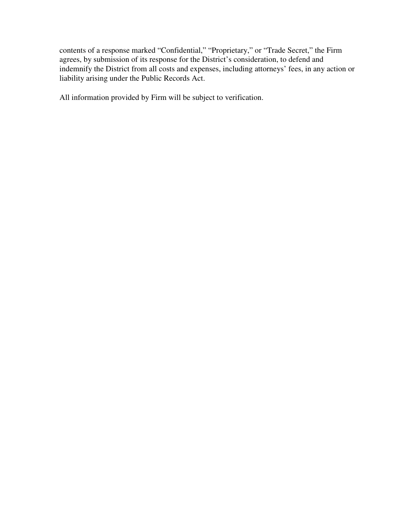contents of a response marked "Confidential," "Proprietary," or "Trade Secret," the Firm agrees, by submission of its response for the District's consideration, to defend and indemnify the District from all costs and expenses, including attorneys' fees, in any action or liability arising under the Public Records Act.

All information provided by Firm will be subject to verification.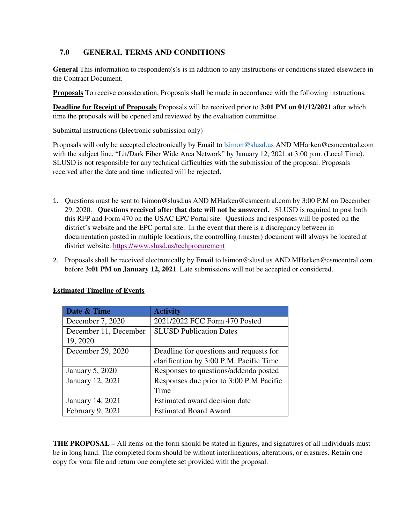## **7.0 GENERAL TERMS AND CONDITIONS**

**General** This information to respondent(s)s is in addition to any instructions or conditions stated elsewhere in the Contract Document.

**Proposals** To receive consideration, Proposals shall be made in accordance with the following instructions:

**Deadline for Receipt of Proposals** Proposals will be received prior to **3:01 PM on 01/12/2021** after which time the proposals will be opened and reviewed by the evaluation committee.

Submittal instructions (Electronic submission only)

Proposals will only be accepted electronically by Email to *Isimon@slusd.us AND MHarken@csmcentral.com* with the subject line, "Lit/Dark Fiber Wide Area Network" by January 12, 2021 at 3:00 p.m. (Local Time). SLUSD is not responsible for any technical difficulties with the submission of the proposal. Proposals received after the date and time indicated will be rejected.

- 1. Questions must be sent to lsimon@slusd.us AND MHarken@csmcentral.com by 3:00 P.M on December 29, 2020. **Questions received after that date will not be answered.** SLUSD is required to post both this RFP and Form 470 on the USAC EPC Portal site. Questions and responses will be posted on the district's website and the EPC portal site. In the event that there is a discrepancy between in documentation posted in multiple locations, the controlling (master) document will always be located at district website: https://www.slusd.us/techprocurement
- 2. Proposals shall be received electronically by Email to lsimon@slusd.us AND MHarken@csmcentral.com before **3:01 PM on January 12, 2021**. Late submissions will not be accepted or considered.

| Date & Time            | <b>Activity</b>                         |  |
|------------------------|-----------------------------------------|--|
| December 7, 2020       | 2021/2022 FCC Form 470 Posted           |  |
| December 11, December  | <b>SLUSD Publication Dates</b>          |  |
| 19, 2020               |                                         |  |
| December 29, 2020      | Deadline for questions and requests for |  |
|                        | clarification by 3:00 P.M. Pacific Time |  |
| <b>January 5, 2020</b> | Responses to questions/addenda posted   |  |
| January 12, 2021       | Responses due prior to 3:00 P.M Pacific |  |
|                        | Time                                    |  |
| January 14, 2021       | Estimated award decision date           |  |
| February 9, 2021       | <b>Estimated Board Award</b>            |  |

#### **Estimated Timeline of Events**

**THE PROPOSAL –** All items on the form should be stated in figures, and signatures of all individuals must be in long hand. The completed form should be without interlineations, alterations, or erasures. Retain one copy for your file and return one complete set provided with the proposal.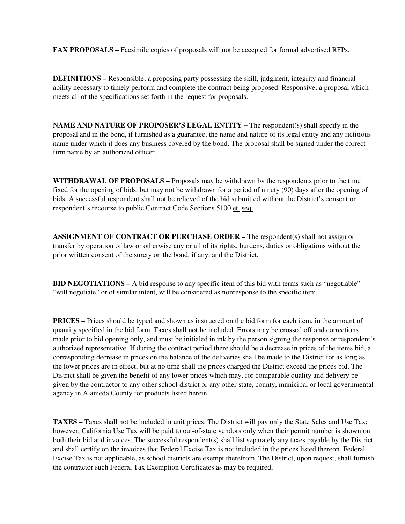**FAX PROPOSALS –** Facsimile copies of proposals will not be accepted for formal advertised RFPs.

**DEFINITIONS –** Responsible; a proposing party possessing the skill, judgment, integrity and financial ability necessary to timely perform and complete the contract being proposed. Responsive; a proposal which meets all of the specifications set forth in the request for proposals.

**NAME AND NATURE OF PROPOSER'S LEGAL ENTITY –** The respondent(s) shall specify in the proposal and in the bond, if furnished as a guarantee, the name and nature of its legal entity and any fictitious name under which it does any business covered by the bond. The proposal shall be signed under the correct firm name by an authorized officer.

**WITHDRAWAL OF PROPOSALS –** Proposals may be withdrawn by the respondents prior to the time fixed for the opening of bids, but may not be withdrawn for a period of ninety (90) days after the opening of bids. A successful respondent shall not be relieved of the bid submitted without the District's consent or respondent's recourse to public Contract Code Sections 5100 et. seq.

**ASSIGNMENT OF CONTRACT OR PURCHASE ORDER –** The respondent(s) shall not assign or transfer by operation of law or otherwise any or all of its rights, burdens, duties or obligations without the prior written consent of the surety on the bond, if any, and the District.

**BID NEGOTIATIONS –** A bid response to any specific item of this bid with terms such as "negotiable" "will negotiate" or of similar intent, will be considered as nonresponse to the specific item.

**PRICES** – Prices should be typed and shown as instructed on the bid form for each item, in the amount of quantity specified in the bid form. Taxes shall not be included. Errors may be crossed off and corrections made prior to bid opening only, and must be initialed in ink by the person signing the response or respondent's authorized representative. If during the contract period there should be a decrease in prices of the items bid, a corresponding decrease in prices on the balance of the deliveries shall be made to the District for as long as the lower prices are in effect, but at no time shall the prices charged the District exceed the prices bid. The District shall be given the benefit of any lower prices which may, for comparable quality and delivery be given by the contractor to any other school district or any other state, county, municipal or local governmental agency in Alameda County for products listed herein.

**TAXES –** Taxes shall not be included in unit prices. The District will pay only the State Sales and Use Tax; however, California Use Tax will be paid to out-of-state vendors only when their permit number is shown on both their bid and invoices. The successful respondent(s) shall list separately any taxes payable by the District and shall certify on the invoices that Federal Excise Tax is not included in the prices listed thereon. Federal Excise Tax is not applicable, as school districts are exempt therefrom. The District, upon request, shall furnish the contractor such Federal Tax Exemption Certificates as may be required,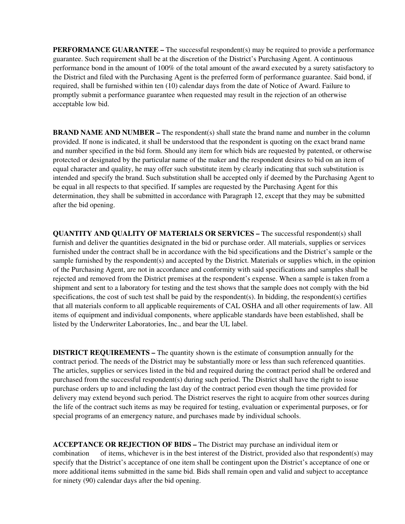**PERFORMANCE GUARANTEE – The successful respondent(s) may be required to provide a performance** guarantee. Such requirement shall be at the discretion of the District's Purchasing Agent. A continuous performance bond in the amount of 100% of the total amount of the award executed by a surety satisfactory to the District and filed with the Purchasing Agent is the preferred form of performance guarantee. Said bond, if required, shall be furnished within ten (10) calendar days from the date of Notice of Award. Failure to promptly submit a performance guarantee when requested may result in the rejection of an otherwise acceptable low bid.

**BRAND NAME AND NUMBER – The respondent(s) shall state the brand name and number in the column** provided. If none is indicated, it shall be understood that the respondent is quoting on the exact brand name and number specified in the bid form. Should any item for which bids are requested by patented, or otherwise protected or designated by the particular name of the maker and the respondent desires to bid on an item of equal character and quality, he may offer such substitute item by clearly indicating that such substitution is intended and specify the brand. Such substitution shall be accepted only if deemed by the Purchasing Agent to be equal in all respects to that specified. If samples are requested by the Purchasing Agent for this determination, they shall be submitted in accordance with Paragraph 12, except that they may be submitted after the bid opening.

**QUANTITY AND QUALITY OF MATERIALS OR SERVICES – The successful respondent(s) shall** furnish and deliver the quantities designated in the bid or purchase order. All materials, supplies or services furnished under the contract shall be in accordance with the bid specifications and the District's sample or the sample furnished by the respondent(s) and accepted by the District. Materials or supplies which, in the opinion of the Purchasing Agent, are not in accordance and conformity with said specifications and samples shall be rejected and removed from the District premises at the respondent's expense. When a sample is taken from a shipment and sent to a laboratory for testing and the test shows that the sample does not comply with the bid specifications, the cost of such test shall be paid by the respondent(s). In bidding, the respondent(s) certifies that all materials conform to all applicable requirements of CAL OSHA and all other requirements of law. All items of equipment and individual components, where applicable standards have been established, shall be listed by the Underwriter Laboratories, Inc., and bear the UL label.

**DISTRICT REQUIREMENTS – The quantity shown is the estimate of consumption annually for the** contract period. The needs of the District may be substantially more or less than such referenced quantities. The articles, supplies or services listed in the bid and required during the contract period shall be ordered and purchased from the successful respondent(s) during such period. The District shall have the right to issue purchase orders up to and including the last day of the contract period even though the time provided for delivery may extend beyond such period. The District reserves the right to acquire from other sources during the life of the contract such items as may be required for testing, evaluation or experimental purposes, or for special programs of an emergency nature, and purchases made by individual schools.

**ACCEPTANCE OR REJECTION OF BIDS –** The District may purchase an individual item or combination of items, whichever is in the best interest of the District, provided also that respondent(s) may specify that the District's acceptance of one item shall be contingent upon the District's acceptance of one or more additional items submitted in the same bid. Bids shall remain open and valid and subject to acceptance for ninety (90) calendar days after the bid opening.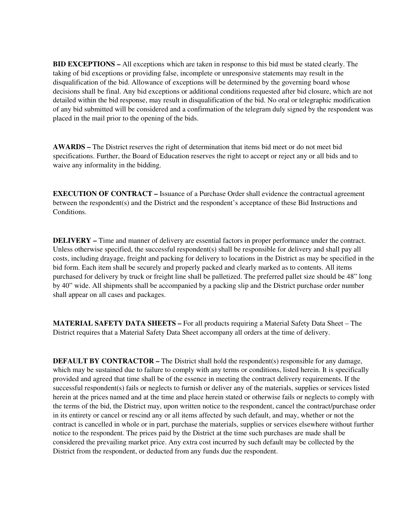**BID EXCEPTIONS –** All exceptions which are taken in response to this bid must be stated clearly. The taking of bid exceptions or providing false, incomplete or unresponsive statements may result in the disqualification of the bid. Allowance of exceptions will be determined by the governing board whose decisions shall be final. Any bid exceptions or additional conditions requested after bid closure, which are not detailed within the bid response, may result in disqualification of the bid. No oral or telegraphic modification of any bid submitted will be considered and a confirmation of the telegram duly signed by the respondent was placed in the mail prior to the opening of the bids.

**AWARDS –** The District reserves the right of determination that items bid meet or do not meet bid specifications. Further, the Board of Education reserves the right to accept or reject any or all bids and to waive any informality in the bidding.

**EXECUTION OF CONTRACT – Issuance of a Purchase Order shall evidence the contractual agreement** between the respondent(s) and the District and the respondent's acceptance of these Bid Instructions and Conditions.

**DELIVERY –** Time and manner of delivery are essential factors in proper performance under the contract. Unless otherwise specified, the successful respondent(s) shall be responsible for delivery and shall pay all costs, including drayage, freight and packing for delivery to locations in the District as may be specified in the bid form. Each item shall be securely and properly packed and clearly marked as to contents. All items purchased for delivery by truck or freight line shall be palletized. The preferred pallet size should be 48" long by 40" wide. All shipments shall be accompanied by a packing slip and the District purchase order number shall appear on all cases and packages.

**MATERIAL SAFETY DATA SHEETS –** For all products requiring a Material Safety Data Sheet – The District requires that a Material Safety Data Sheet accompany all orders at the time of delivery.

**DEFAULT BY CONTRACTOR – The District shall hold the respondent(s) responsible for any damage,** which may be sustained due to failure to comply with any terms or conditions, listed herein. It is specifically provided and agreed that time shall be of the essence in meeting the contract delivery requirements. If the successful respondent(s) fails or neglects to furnish or deliver any of the materials, supplies or services listed herein at the prices named and at the time and place herein stated or otherwise fails or neglects to comply with the terms of the bid, the District may, upon written notice to the respondent, cancel the contract/purchase order in its entirety or cancel or rescind any or all items affected by such default, and may, whether or not the contract is cancelled in whole or in part, purchase the materials, supplies or services elsewhere without further notice to the respondent. The prices paid by the District at the time such purchases are made shall be considered the prevailing market price. Any extra cost incurred by such default may be collected by the District from the respondent, or deducted from any funds due the respondent.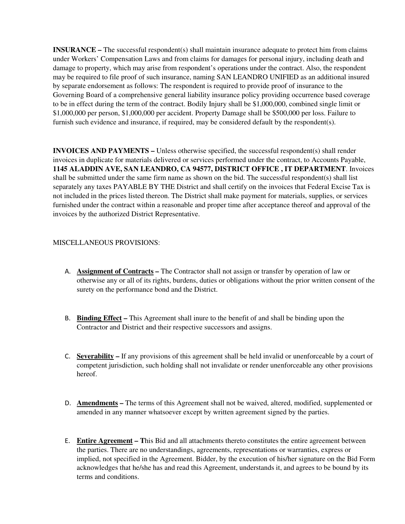**INSURANCE –** The successful respondent(s) shall maintain insurance adequate to protect him from claims under Workers' Compensation Laws and from claims for damages for personal injury, including death and damage to property, which may arise from respondent's operations under the contract. Also, the respondent may be required to file proof of such insurance, naming SAN LEANDRO UNIFIED as an additional insured by separate endorsement as follows: The respondent is required to provide proof of insurance to the Governing Board of a comprehensive general liability insurance policy providing occurrence based coverage to be in effect during the term of the contract. Bodily Injury shall be \$1,000,000, combined single limit or \$1,000,000 per person, \$1,000,000 per accident. Property Damage shall be \$500,000 per loss. Failure to furnish such evidence and insurance, if required, may be considered default by the respondent(s).

**INVOICES AND PAYMENTS –** Unless otherwise specified, the successful respondent(s) shall render invoices in duplicate for materials delivered or services performed under the contract, to Accounts Payable, **1145 ALADDIN AVE, SAN LEANDRO, CA 94577, DISTRICT OFFICE , IT DEPARTMENT**. Invoices shall be submitted under the same firm name as shown on the bid. The successful respondent(s) shall list separately any taxes PAYABLE BY THE District and shall certify on the invoices that Federal Excise Tax is not included in the prices listed thereon. The District shall make payment for materials, supplies, or services furnished under the contract within a reasonable and proper time after acceptance thereof and approval of the invoices by the authorized District Representative.

#### MISCELLANEOUS PROVISIONS:

- A. **Assignment of Contracts** The Contractor shall not assign or transfer by operation of law or otherwise any or all of its rights, burdens, duties or obligations without the prior written consent of the surety on the performance bond and the District.
- B. **Binding Effect** This Agreement shall inure to the benefit of and shall be binding upon the Contractor and District and their respective successors and assigns.
- C. **Severability** If any provisions of this agreement shall be held invalid or unenforceable by a court of competent jurisdiction, such holding shall not invalidate or render unenforceable any other provisions hereof.
- D. **Amendments –** The terms of this Agreement shall not be waived, altered, modified, supplemented or amended in any manner whatsoever except by written agreement signed by the parties.
- E. **Entire Agreement T**his Bid and all attachments thereto constitutes the entire agreement between the parties. There are no understandings, agreements, representations or warranties, express or implied, not specified in the Agreement. Bidder, by the execution of his/her signature on the Bid Form acknowledges that he/she has and read this Agreement, understands it, and agrees to be bound by its terms and conditions.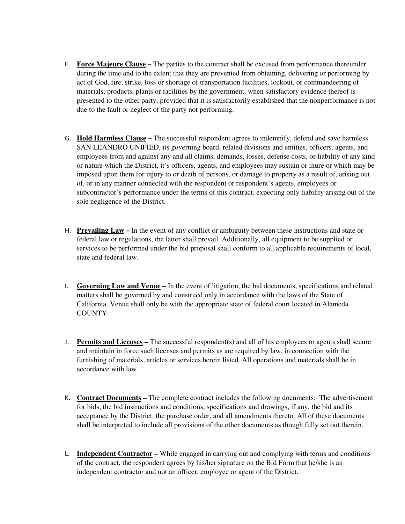- F. **Force Majeure Clause** The parties to the contract shall be excused from performance thereunder during the time and to the extent that they are prevented from obtaining, delivering or performing by act of God, fire, strike, loss or shortage of transportation facilities, lockout, or commandeering of materials, products, plants or facilities by the government, when satisfactory evidence thereof is presented to the other party, provided that it is satisfactorily established that the nonperformance is not due to the fault or neglect of the party not performing.
- G. **Hold Harmless Clause** The successful respondent agrees to indemnify, defend and save harmless SAN LEANDRO UNIFIED, its governing board, related divisions and entities, officers, agents, and employees from and against any and all claims, demands, losses, defense costs, or liability of any kind or nature which the District, it's officers, agents, and employees may sustain or inure or which may be imposed upon them for injury to or death of persons, or damage to property as a result of, arising out of, or in any manner connected with the respondent or respondent's agents, employees or subcontractor's performance under the terms of this contract, expecting only liability arising out of the sole negligence of the District.
- H. **Prevailing Law** In the event of any conflict or ambiguity between these instructions and state or federal law or regulations, the latter shall prevail. Additionally, all equipment to be supplied or services to be performed under the bid proposal shall conform to all applicable requirements of local, state and federal law.
- I. **Governing Law and Venue** In the event of litigation, the bid documents, specifications and related matters shall be governed by and construed only in accordance with the laws of the State of California. Venue shall only be with the appropriate state of federal court located in Alameda COUNTY.
- J. **Permits and Licenses** The successful respondent(s) and all of his employees or agents shall secure and maintain in force such licenses and permits as are required by law, in connection with the furnishing of materials, articles or services herein listed. All operations and materials shall be in accordance with law.
- K. **Contract Documents –** The complete contract includes the following documents: The advertisement for bids, the bid instructions and conditions, specifications and drawings, if any, the bid and its acceptance by the District, the purchase order, and all amendments thereto. All of these documents shall be interpreted to include all provisions of the other documents as though fully set out therein.
- L. **Independent Contractor –** While engaged in carrying out and complying with terms and conditions of the contract, the respondent agrees by his/her signature on the Bid Form that he/she is an independent contractor and not an officer, employee or agent of the District.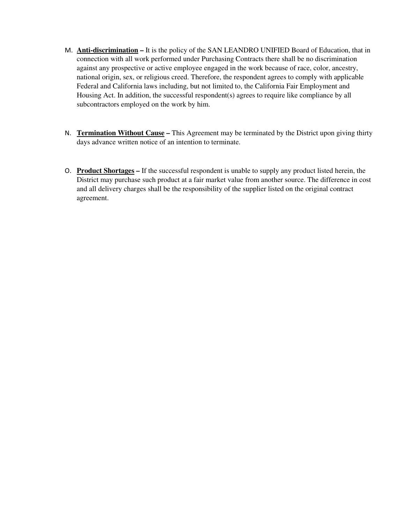- M. **Anti-discrimination** It is the policy of the SAN LEANDRO UNIFIED Board of Education, that in connection with all work performed under Purchasing Contracts there shall be no discrimination against any prospective or active employee engaged in the work because of race, color, ancestry, national origin, sex, or religious creed. Therefore, the respondent agrees to comply with applicable Federal and California laws including, but not limited to, the California Fair Employment and Housing Act. In addition, the successful respondent(s) agrees to require like compliance by all subcontractors employed on the work by him.
- N. **Termination Without Cause –** This Agreement may be terminated by the District upon giving thirty days advance written notice of an intention to terminate.
- O. **Product Shortages** If the successful respondent is unable to supply any product listed herein, the District may purchase such product at a fair market value from another source. The difference in cost and all delivery charges shall be the responsibility of the supplier listed on the original contract agreement.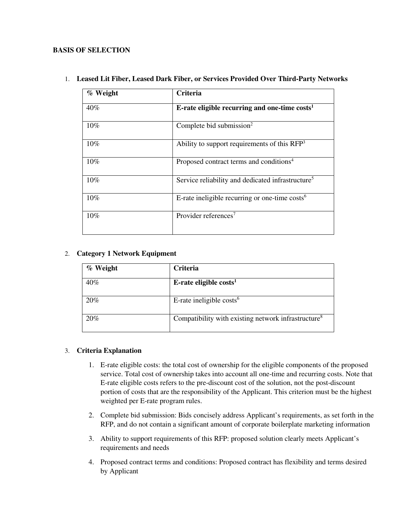#### **BASIS OF SELECTION**

| % Weight | <b>Criteria</b>                                               |
|----------|---------------------------------------------------------------|
| 40%      | E-rate eligible recurring and one-time $costs1$               |
| $10\%$   | Complete bid submission <sup>2</sup>                          |
| 10%      | Ability to support requirements of this RFP <sup>3</sup>      |
| 10%      | Proposed contract terms and conditions <sup>4</sup>           |
| 10%      | Service reliability and dedicated infrastructure <sup>5</sup> |
| 10%      | E-rate ineligible recurring or one-time $costs6$              |
| 10%      | Provider references <sup>7</sup>                              |

1. **Leased Lit Fiber, Leased Dark Fiber, or Services Provided Over Third-Party Networks** 

#### 2. **Category 1 Network Equipment**

| $%$ Weight | Criteria                                                        |
|------------|-----------------------------------------------------------------|
| 40%        | E-rate eligible costs <sup>1</sup>                              |
| 20%        | E-rate ineligible $costs6$                                      |
| 20%        | Compatibility with existing network infrastructure <sup>8</sup> |

#### 3. **Criteria Explanation**

- 1. E-rate eligible costs: the total cost of ownership for the eligible components of the proposed service. Total cost of ownership takes into account all one-time and recurring costs. Note that E-rate eligible costs refers to the pre-discount cost of the solution, not the post-discount portion of costs that are the responsibility of the Applicant. This criterion must be the highest weighted per E-rate program rules.
- 2. Complete bid submission: Bids concisely address Applicant's requirements, as set forth in the RFP, and do not contain a significant amount of corporate boilerplate marketing information
- 3. Ability to support requirements of this RFP: proposed solution clearly meets Applicant's requirements and needs
- 4. Proposed contract terms and conditions: Proposed contract has flexibility and terms desired by Applicant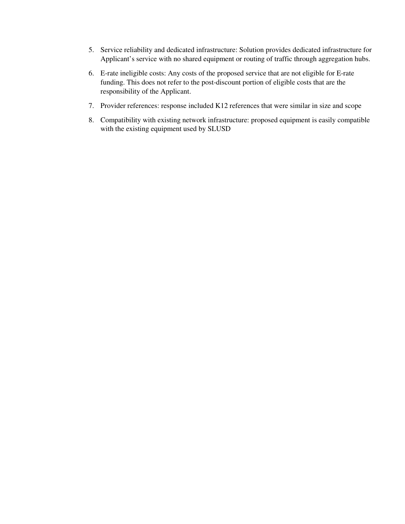- 5. Service reliability and dedicated infrastructure: Solution provides dedicated infrastructure for Applicant's service with no shared equipment or routing of traffic through aggregation hubs.
- 6. E-rate ineligible costs: Any costs of the proposed service that are not eligible for E-rate funding. This does not refer to the post-discount portion of eligible costs that are the responsibility of the Applicant.
- 7. Provider references: response included K12 references that were similar in size and scope
- 8. Compatibility with existing network infrastructure: proposed equipment is easily compatible with the existing equipment used by SLUSD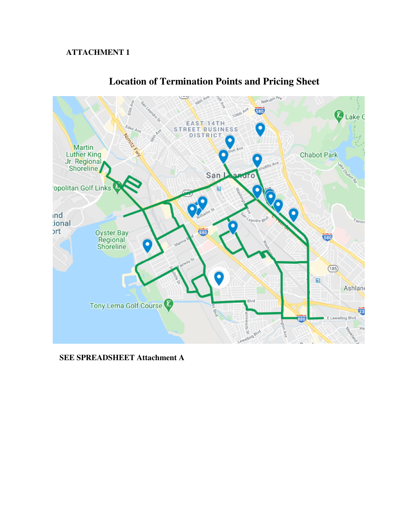## **ATTACHMENT 1**



# **Location of Termination Points and Pricing Sheet**

**SEE SPREADSHEET Attachment A**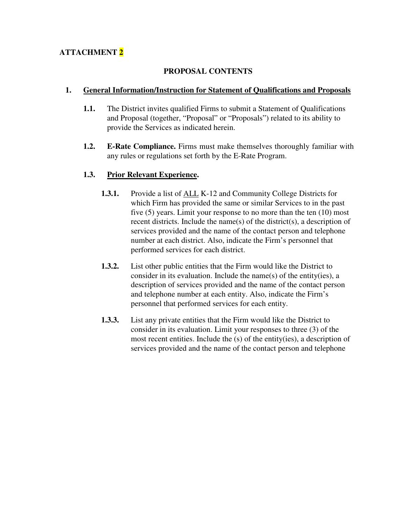# **ATTACHMENT 2**

### **PROPOSAL CONTENTS**

### **1. General Information/Instruction for Statement of Qualifications and Proposals**

- **1.1.** The District invites qualified Firms to submit a Statement of Qualifications and Proposal (together, "Proposal" or "Proposals") related to its ability to provide the Services as indicated herein.
- **1.2. E-Rate Compliance.** Firms must make themselves thoroughly familiar with any rules or regulations set forth by the E-Rate Program.

### **1.3. Prior Relevant Experience.**

- **1.3.1.** Provide a list of ALL K-12 and Community College Districts for which Firm has provided the same or similar Services to in the past five (5) years. Limit your response to no more than the ten (10) most recent districts. Include the name(s) of the district(s), a description of services provided and the name of the contact person and telephone number at each district. Also, indicate the Firm's personnel that performed services for each district.
- **1.3.2.** List other public entities that the Firm would like the District to consider in its evaluation. Include the name(s) of the entity(ies), a description of services provided and the name of the contact person and telephone number at each entity. Also, indicate the Firm's personnel that performed services for each entity.
- **1.3.3.** List any private entities that the Firm would like the District to consider in its evaluation. Limit your responses to three (3) of the most recent entities. Include the (s) of the entity(ies), a description of services provided and the name of the contact person and telephone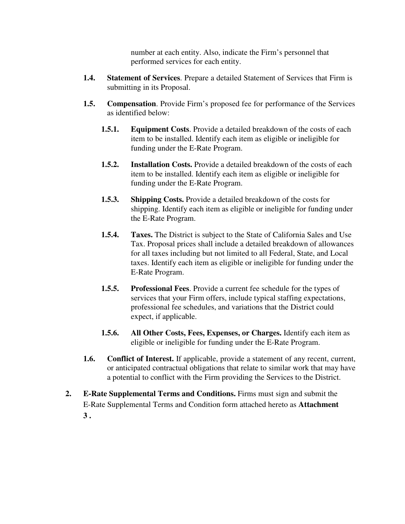number at each entity. Also, indicate the Firm's personnel that performed services for each entity.

- **1.4. Statement of Services**. Prepare a detailed Statement of Services that Firm is submitting in its Proposal.
- **1.5. Compensation**. Provide Firm's proposed fee for performance of the Services as identified below:
	- **1.5.1. Equipment Costs**. Provide a detailed breakdown of the costs of each item to be installed. Identify each item as eligible or ineligible for funding under the E-Rate Program.
	- **1.5.2. Installation Costs.** Provide a detailed breakdown of the costs of each item to be installed. Identify each item as eligible or ineligible for funding under the E-Rate Program.
	- **1.5.3. Shipping Costs.** Provide a detailed breakdown of the costs for shipping. Identify each item as eligible or ineligible for funding under the E-Rate Program.
	- **1.5.4. Taxes.** The District is subject to the State of California Sales and Use Tax. Proposal prices shall include a detailed breakdown of allowances for all taxes including but not limited to all Federal, State, and Local taxes. Identify each item as eligible or ineligible for funding under the E-Rate Program.
	- **1.5.5. Professional Fees**. Provide a current fee schedule for the types of services that your Firm offers, include typical staffing expectations, professional fee schedules, and variations that the District could expect, if applicable.
	- **1.5.6. All Other Costs, Fees, Expenses, or Charges.** Identify each item as eligible or ineligible for funding under the E-Rate Program.
- **1.6. Conflict of Interest.** If applicable, provide a statement of any recent, current, or anticipated contractual obligations that relate to similar work that may have a potential to conflict with the Firm providing the Services to the District.
- **2. E-Rate Supplemental Terms and Conditions.** Firms must sign and submit the E-Rate Supplemental Terms and Condition form attached hereto as **Attachment 3 .**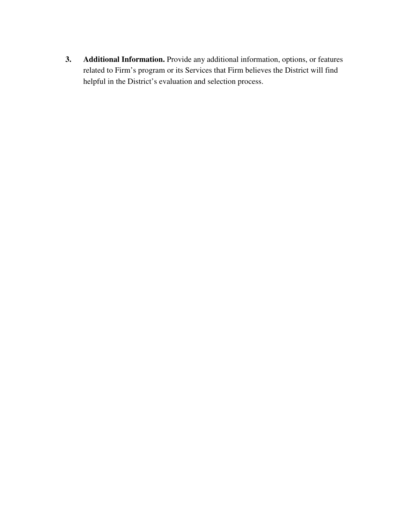**3. Additional Information.** Provide any additional information, options, or features related to Firm's program or its Services that Firm believes the District will find helpful in the District's evaluation and selection process.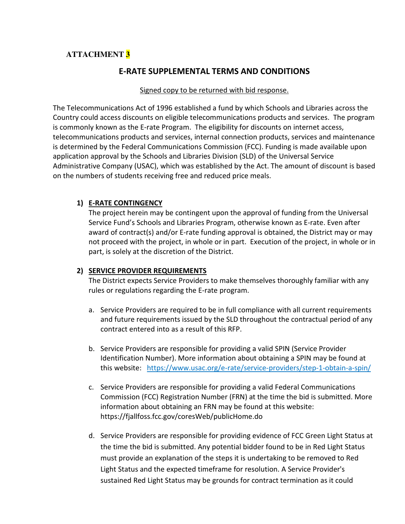# **ATTACHMENT 3**

# E-RATE SUPPLEMENTAL TERMS AND CONDITIONS

#### Signed copy to be returned with bid response.

The Telecommunications Act of 1996 established a fund by which Schools and Libraries across the Country could access discounts on eligible telecommunications products and services. The program is commonly known as the E-rate Program. The eligibility for discounts on internet access, telecommunications products and services, internal connection products, services and maintenance is determined by the Federal Communications Commission (FCC). Funding is made available upon application approval by the Schools and Libraries Division (SLD) of the Universal Service Administrative Company (USAC), which was established by the Act. The amount of discount is based on the numbers of students receiving free and reduced price meals.

### 1) E-RATE CONTINGENCY

The project herein may be contingent upon the approval of funding from the Universal Service Fund's Schools and Libraries Program, otherwise known as E-rate. Even after award of contract(s) and/or E-rate funding approval is obtained, the District may or may not proceed with the project, in whole or in part. Execution of the project, in whole or in part, is solely at the discretion of the District.

### 2) SERVICE PROVIDER REQUIREMENTS

The District expects Service Providers to make themselves thoroughly familiar with any rules or regulations regarding the E-rate program.

- a. Service Providers are required to be in full compliance with all current requirements and future requirements issued by the SLD throughout the contractual period of any contract entered into as a result of this RFP.
- b. Service Providers are responsible for providing a valid SPIN (Service Provider Identification Number). More information about obtaining a SPIN may be found at this website: https://www.usac.org/e-rate/service-providers/step-1-obtain-a-spin/
- c. Service Providers are responsible for providing a valid Federal Communications Commission (FCC) Registration Number (FRN) at the time the bid is submitted. More information about obtaining an FRN may be found at this website: https://fjallfoss.fcc.gov/coresWeb/publicHome.do
- d. Service Providers are responsible for providing evidence of FCC Green Light Status at the time the bid is submitted. Any potential bidder found to be in Red Light Status must provide an explanation of the steps it is undertaking to be removed to Red Light Status and the expected timeframe for resolution. A Service Provider's sustained Red Light Status may be grounds for contract termination as it could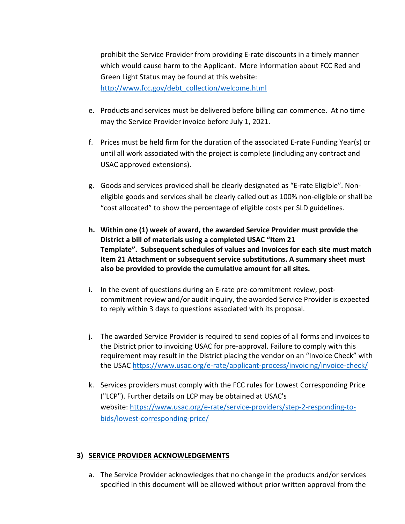prohibit the Service Provider from providing E-rate discounts in a timely manner which would cause harm to the Applicant. More information about FCC Red and Green Light Status may be found at this website: http://www.fcc.gov/debt\_collection/welcome.html

- e. Products and services must be delivered before billing can commence. At no time may the Service Provider invoice before July 1, 2021.
- f. Prices must be held firm for the duration of the associated E-rate Funding Year(s) or until all work associated with the project is complete (including any contract and USAC approved extensions).
- g. Goods and services provided shall be clearly designated as "E-rate Eligible". Noneligible goods and services shall be clearly called out as 100% non-eligible or shall be "cost allocated" to show the percentage of eligible costs per SLD guidelines.
- h. Within one (1) week of award, the awarded Service Provider must provide the District a bill of materials using a completed USAC "Item 21 Template". Subsequent schedules of values and invoices for each site must match Item 21 Attachment or subsequent service substitutions. A summary sheet must also be provided to provide the cumulative amount for all sites.
- i. In the event of questions during an E-rate pre-commitment review, postcommitment review and/or audit inquiry, the awarded Service Provider is expected to reply within 3 days to questions associated with its proposal.
- j. The awarded Service Provider is required to send copies of all forms and invoices to the District prior to invoicing USAC for pre-approval. Failure to comply with this requirement may result in the District placing the vendor on an "Invoice Check" with the USAC https://www.usac.org/e-rate/applicant-process/invoicing/invoice-check/
- k. Services providers must comply with the FCC rules for Lowest Corresponding Price ("LCP"). Further details on LCP may be obtained at USAC's website: https://www.usac.org/e-rate/service-providers/step-2-responding-tobids/lowest-corresponding-price/

### 3) SERVICE PROVIDER ACKNOWLEDGEMENTS

a. The Service Provider acknowledges that no change in the products and/or services specified in this document will be allowed without prior written approval from the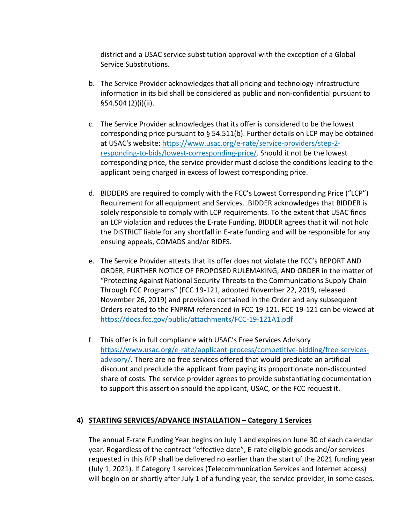district and a USAC service substitution approval with the exception of a Global Service Substitutions.

- b. The Service Provider acknowledges that all pricing and technology infrastructure information in its bid shall be considered as public and non-confidential pursuant to §54.504 (2)(i)(ii).
- c. The Service Provider acknowledges that its offer is considered to be the lowest corresponding price pursuant to § 54.511(b). Further details on LCP may be obtained at USAC's website: https://www.usac.org/e-rate/service-providers/step-2 responding-to-bids/lowest-corresponding-price/. Should it not be the lowest corresponding price, the service provider must disclose the conditions leading to the applicant being charged in excess of lowest corresponding price.
- d. BIDDERS are required to comply with the FCC's Lowest Corresponding Price ("LCP") Requirement for all equipment and Services. BIDDER acknowledges that BIDDER is solely responsible to comply with LCP requirements. To the extent that USAC finds an LCP violation and reduces the E-rate Funding, BIDDER agrees that it will not hold the DISTRICT liable for any shortfall in E-rate funding and will be responsible for any ensuing appeals, COMADS and/or RIDFS.
- e. The Service Provider attests that its offer does not violate the FCC's REPORT AND ORDER, FURTHER NOTICE OF PROPOSED RULEMAKING, AND ORDER in the matter of "Protecting Against National Security Threats to the Communications Supply Chain Through FCC Programs" (FCC 19-121, adopted November 22, 2019, released November 26, 2019) and provisions contained in the Order and any subsequent Orders related to the FNPRM referenced in FCC 19-121. FCC 19-121 can be viewed at https://docs.fcc.gov/public/attachments/FCC-19-121A1.pdf
- f. This offer is in full compliance with USAC's Free Services Advisory https://www.usac.org/e-rate/applicant-process/competitive-bidding/free-servicesadvisory/. There are no free services offered that would predicate an artificial discount and preclude the applicant from paying its proportionate non-discounted share of costs. The service provider agrees to provide substantiating documentation to support this assertion should the applicant, USAC, or the FCC request it.

### 4) STARTING SERVICES/ADVANCE INSTALLATION – Category 1 Services

The annual E-rate Funding Year begins on July 1 and expires on June 30 of each calendar year. Regardless of the contract "effective date", E-rate eligible goods and/or services requested in this RFP shall be delivered no earlier than the start of the 2021 funding year (July 1, 2021). If Category 1 services (Telecommunication Services and Internet access) will begin on or shortly after July 1 of a funding year, the service provider, in some cases,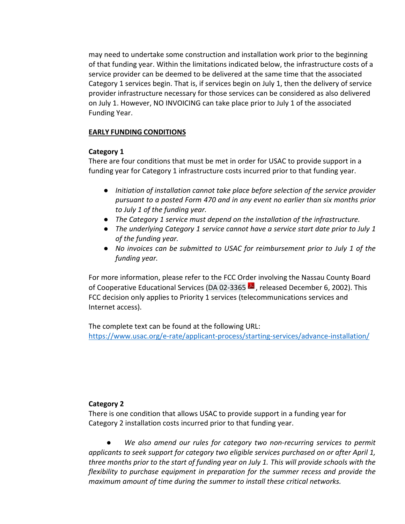may need to undertake some construction and installation work prior to the beginning of that funding year. Within the limitations indicated below, the infrastructure costs of a service provider can be deemed to be delivered at the same time that the associated Category 1 services begin. That is, if services begin on July 1, then the delivery of service provider infrastructure necessary for those services can be considered as also delivered on July 1. However, NO INVOICING can take place prior to July 1 of the associated Funding Year.

#### EARLY FUNDING CONDITIONS

#### Category 1

There are four conditions that must be met in order for USAC to provide support in a funding year for Category 1 infrastructure costs incurred prior to that funding year.

- Initiation of installation cannot take place before selection of the service provider pursuant to a posted Form 470 and in any event no earlier than six months prior to July 1 of the funding year.
- The Category 1 service must depend on the installation of the infrastructure.
- The underlying Category 1 service cannot have a service start date prior to July 1 of the funding year.
- No invoices can be submitted to USAC for reimbursement prior to July 1 of the funding year.

For more information, please refer to the FCC Order involving the Nassau County Board of Cooperative Educational Services (DA 02-3365  $\blacktriangle$ , released December 6, 2002). This FCC decision only applies to Priority 1 services (telecommunications services and Internet access).

The complete text can be found at the following URL: https://www.usac.org/e-rate/applicant-process/starting-services/advance-installation/

#### Category 2

There is one condition that allows USAC to provide support in a funding year for Category 2 installation costs incurred prior to that funding year.

We also amend our rules for category two non-recurring services to permit applicants to seek support for category two eligible services purchased on or after April 1, three months prior to the start of funding year on July 1. This will provide schools with the flexibility to purchase equipment in preparation for the summer recess and provide the maximum amount of time during the summer to install these critical networks.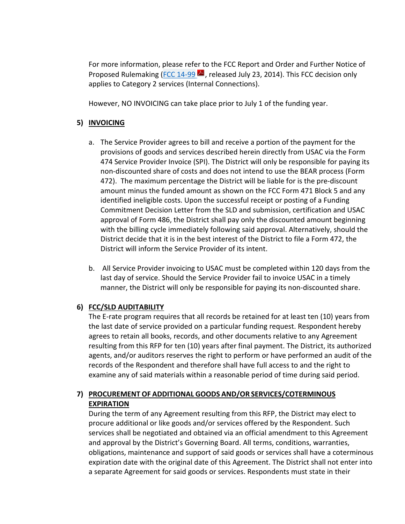For more information, please refer to the FCC Report and Order and Further Notice of Proposed Rulemaking (FCC 14-99  $\blacktriangle$ , released July 23, 2014). This FCC decision only applies to Category 2 services (Internal Connections).

However, NO INVOICING can take place prior to July 1 of the funding year.

### 5) INVOICING

- a. The Service Provider agrees to bill and receive a portion of the payment for the provisions of goods and services described herein directly from USAC via the Form 474 Service Provider Invoice (SPI). The District will only be responsible for paying its non-discounted share of costs and does not intend to use the BEAR process (Form 472). The maximum percentage the District will be liable for is the pre-discount amount minus the funded amount as shown on the FCC Form 471 Block 5 and any identified ineligible costs. Upon the successful receipt or posting of a Funding Commitment Decision Letter from the SLD and submission, certification and USAC approval of Form 486, the District shall pay only the discounted amount beginning with the billing cycle immediately following said approval. Alternatively, should the District decide that it is in the best interest of the District to file a Form 472, the District will inform the Service Provider of its intent.
- b. All Service Provider invoicing to USAC must be completed within 120 days from the last day of service. Should the Service Provider fail to invoice USAC in a timely manner, the District will only be responsible for paying its non-discounted share.

### 6) FCC/SLD AUDITABILITY

The E-rate program requires that all records be retained for at least ten (10) years from the last date of service provided on a particular funding request. Respondent hereby agrees to retain all books, records, and other documents relative to any Agreement resulting from this RFP for ten (10) years after final payment. The District, its authorized agents, and/or auditors reserves the right to perform or have performed an audit of the records of the Respondent and therefore shall have full access to and the right to examine any of said materials within a reasonable period of time during said period.

# 7) PROCUREMENT OF ADDITIONAL GOODS AND/OR SERVICES/COTERMINOUS **EXPIRATION**

During the term of any Agreement resulting from this RFP, the District may elect to procure additional or like goods and/or services offered by the Respondent. Such services shall be negotiated and obtained via an official amendment to this Agreement and approval by the District's Governing Board. All terms, conditions, warranties, obligations, maintenance and support of said goods or services shall have a coterminous expiration date with the original date of this Agreement. The District shall not enter into a separate Agreement for said goods or services. Respondents must state in their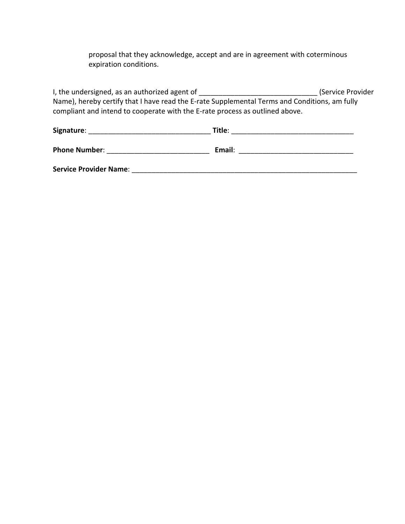proposal that they acknowledge, accept and are in agreement with coterminous expiration conditions.

I, the undersigned, as an authorized agent of \_\_\_\_\_\_\_\_\_\_\_\_\_\_\_\_\_\_\_\_\_\_\_\_\_\_\_\_\_\_\_\_\_\_(Service Provider Name), hereby certify that I have read the E-rate Supplemental Terms and Conditions, am fully compliant and intend to cooperate with the E-rate process as outlined above.

| Signature:                    | Title: |  |
|-------------------------------|--------|--|
| <b>Phone Number:</b>          | Email: |  |
| <b>Service Provider Name:</b> |        |  |